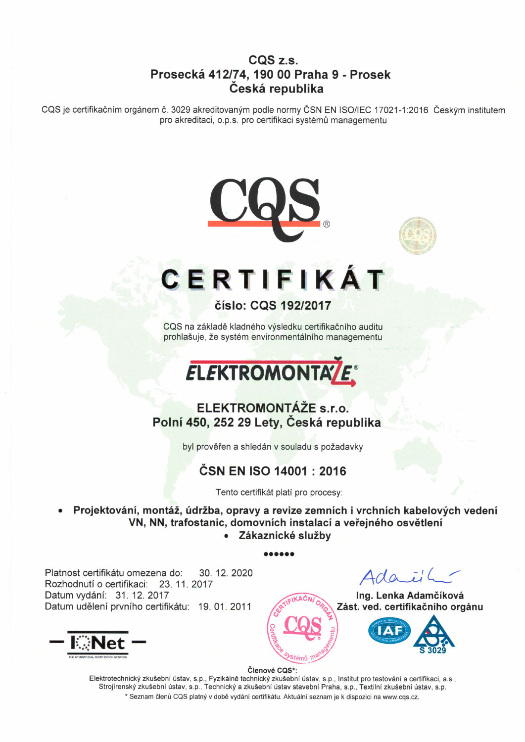#### CQS z.s. Prosecke 412174, 190 00 Praha 9 - Prosek Česká republika

CQS je certifikačním orgánem č. 3029 akreditovaným podle normy ČSN EN ISO/IEC 17021-1:2016 Českým institutem pro akreditaci, o.p.s. pro certifikaci systémů managementu





# CERTIFIKAT

#### 6islo: CQS 19212017

CQS na základě kladného výsledku certifikačního auditu prohlašuje, že systém environmentálního managementu

# **ELEKTROMONTALE®**

#### ELEKTROMONTAZE s.r.o. Polní 450, 252 29 Lety, Česká republika

byl prověřen a shledán v souladu s požadavky

### ČSN EN ISO 14001 : 2016

Tento certifikát platí pro procesy:

Projektování, montáž, údržba, opravy a revize zemních i vrchních kabelových vedení VN, NN, trafostanic, domovních instalací a veřejného osvětlení • Zákaznické služby

ooaaaa

Platnost certifikátu omezena do: Rozhodnutf o certifikaci: 23. 11. 2017 Datum vydání: 31. 12. 2017 Datum udělení prvního certifikátu: 19.01.2011 30. 12.2020



 $Ada.i'$ 

Ing. Lenka Adamčíková Zást. ved. certifikačního orgánu



#### Členové CQS\*:

Elektrotechnický zkušební ústav, s.p., Fyzikálně technický zkušební ústav, s.p., Institut pro testování a certifikaci, a.s., Strojírenský zkušební ústav, s.p., Technický a zkušební ústav stavební Praha, s.p., Textilní zkušební ústav, s.p. \* Seznam členů CQS platný v době vydání certifikátu. Aktuální seznam je k dispozici na www.cqs.cz.